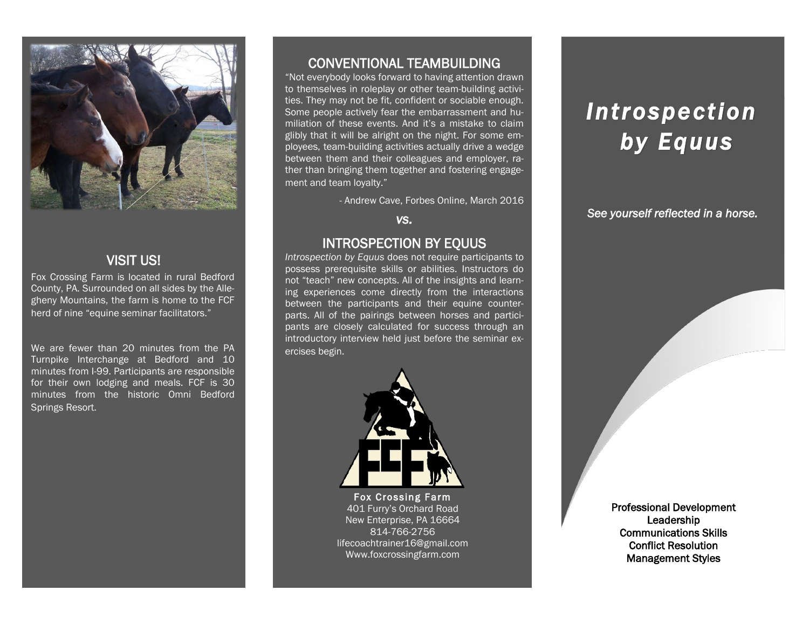

## VISIT US!

Fox Crossing Farm is located in rural Bedford County, PA. Surrounded on all sides by the Allegheny Mountains, the farm is home to the FCF herd of nine "equine seminar facilitators."

We are fewer than 20 minutes from the PA Turnpike Interchange at Bedford and 10 minutes from I-99. Participants are responsible for their own lodging and meals. FCF is 30 minutes from the historic Omni Bedford Springs Resort.

### CONVENTIONAL TEAMBUILDING

"Not everybody looks forward to having attention drawn to themselves in roleplay or other team-building activities. They may not be fit, confident or sociable enough. Some people actively fear the embarrassment and humiliation of these events. And it's a mistake to claim glibly that it will be alright on the night. For some employees, team-building activities actually drive a wedge between them and their colleagues and employer, rather than bringing them together and fostering engagement and team loyalty."

- Andrew Cave, Forbes Online, March 2016

*vs.* 

#### INTROSPECTION BY EQUUS

*Introspection by Equus* does not require participants to possess prerequisite skills or abilities. Instructors do not "teach" new concepts. All of the insights and learning experiences come directly from the interactions between the participants and their equine counterparts. All of the pairings between horses and participants are closely calculated for success through an introductory interview held just before the seminar exercises begin.



Fox Crossing Farm 401 Furry's Orchard Road New Enterprise, PA 16664 814-766-2756 lifecoachtrainer16@gmail.com Www.foxcrossingfarm.com

# *Introspection by Equus*

*See yourself reflected in a horse.* 

Professional Development **Leadership** Communications Skills Conflict Resolution Management Styles